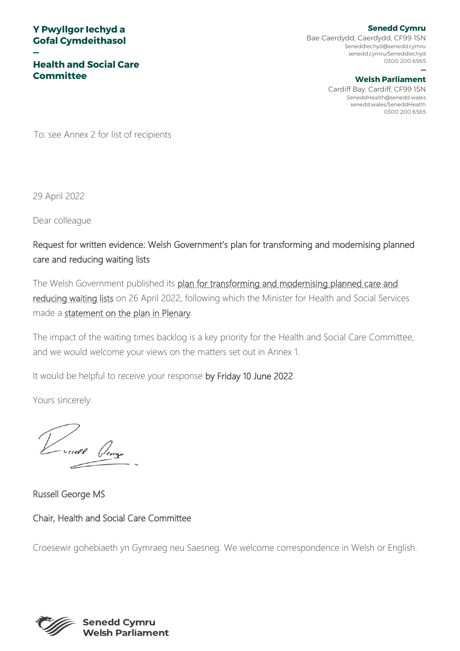#### **Y Pwyllgor Iechyd a Gofal Cymdeithasol**

**—**

**Health and Social Care Committee**

**Senedd Cymru** Bae Caerdydd, Caerdydd, CF99 1SN SeneddIechyd@senedd.cymru senedd.cymru/SeneddIechyd 0300 200 6565

#### **— Welsh Parliament**

Cardiff Bay, Cardiff, CF99 1SN SeneddHealth@senedd.wales senedd.wales/SeneddHealth 0300 200 6565

To: see Annex 2 for list of recipients

29 April 2022

Dear colleague

Request for written evidence: Welsh Government's plan for transforming and modernising planned care and reducing waiting lists

The Welsh Government published its plan for transforming and modernising planned care and [reducing waiting lists](https://gov.wales/transforming-and-modernising-planned-care-and-reducing-waiting-lists) on 26 April 2022, following which the Minister for Health and Social Services made a [statement on the plan in Plenary.](https://record.assembly.wales/Plenary/12810#A71491)

The impact of the waiting times backlog is a key priority for the Health and Social Care Committee, and we would welcome your views on the matters set out in Annex 1.

It would be helpful to receive your response by Friday 10 June 2022.

Yours sincerely

Russell George MS

Chair, Health and Social Care Committee

Croesewir gohebiaeth yn Gymraeg neu Saesneg. We welcome correspondence in Welsh or English.

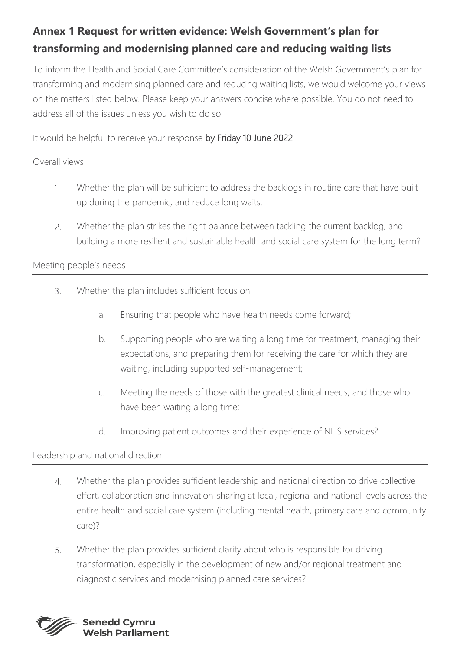# **Annex 1 Request for written evidence: Welsh Government's plan for transforming and modernising planned care and reducing waiting lists**

To inform the Health and Social Care Committee's consideration of the Welsh Government's plan for transforming and modernising planned care and reducing waiting lists, we would welcome your views on the matters listed below. Please keep your answers concise where possible. You do not need to address all of the issues unless you wish to do so.

It would be helpful to receive your response by Friday 10 June 2022.

### Overall views

- Whether the plan will be sufficient to address the backlogs in routine care that have built  $1.$ up during the pandemic, and reduce long waits.
- Whether the plan strikes the right balance between tackling the current backlog, and  $2.$ building a more resilient and sustainable health and social care system for the long term?

### Meeting people's needs

- $\overline{3}$ . Whether the plan includes sufficient focus on:
	- a. Ensuring that people who have health needs come forward;
	- b. Supporting people who are waiting a long time for treatment, managing their expectations, and preparing them for receiving the care for which they are waiting, including supported self-management;
	- c. Meeting the needs of those with the greatest clinical needs, and those who have been waiting a long time;
	- d. Improving patient outcomes and their experience of NHS services?

## Leadership and national direction

- Whether the plan provides sufficient leadership and national direction to drive collective  $4.$ effort, collaboration and innovation-sharing at local, regional and national levels across the entire health and social care system (including mental health, primary care and community care)?
- Whether the plan provides sufficient clarity about who is responsible for driving 5. transformation, especially in the development of new and/or regional treatment and diagnostic services and modernising planned care services?

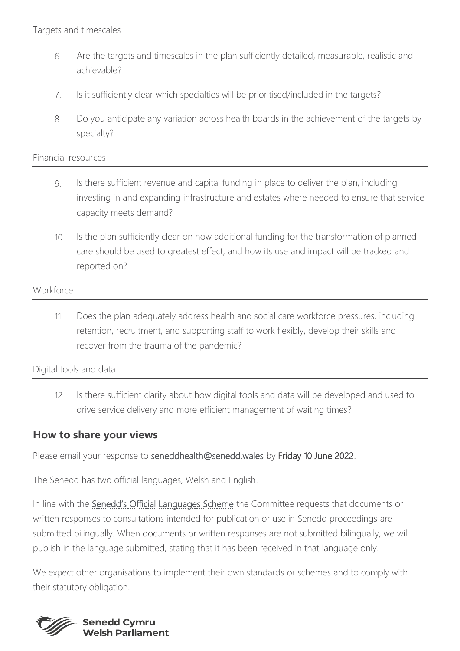- Are the targets and timescales in the plan sufficiently detailed, measurable, realistic and 6. achievable?
- $7.$ Is it sufficiently clear which specialties will be prioritised/included in the targets?
- 8. Do you anticipate any variation across health boards in the achievement of the targets by specialty?

#### Financial resources

- Is there sufficient revenue and capital funding in place to deliver the plan, including 9. investing in and expanding infrastructure and estates where needed to ensure that service capacity meets demand?
- $10.$ Is the plan sufficiently clear on how additional funding for the transformation of planned care should be used to greatest effect, and how its use and impact will be tracked and reported on?

#### Workforce

Does the plan adequately address health and social care workforce pressures, including 11. retention, recruitment, and supporting staff to work flexibly, develop their skills and recover from the trauma of the pandemic?

Digital tools and data

 $12.$ Is there sufficient clarity about how digital tools and data will be developed and used to drive service delivery and more efficient management of waiting times?

#### **How to share your views**

Please email your response to [seneddhealth@senedd.wales](mailto:seneddhealth@senedd.wales) by Friday 10 June 2022.

The Senedd has two official languages, Welsh and English.

In line with the [Senedd's Official Languages Scheme](https://senedd.wales/commission/senedd-commission-policy/official-languages/) the Committee requests that documents or written responses to consultations intended for publication or use in Senedd proceedings are submitted bilingually. When documents or written responses are not submitted bilingually, we will publish in the language submitted, stating that it has been received in that language only.

We expect other organisations to implement their own standards or schemes and to comply with their statutory obligation.

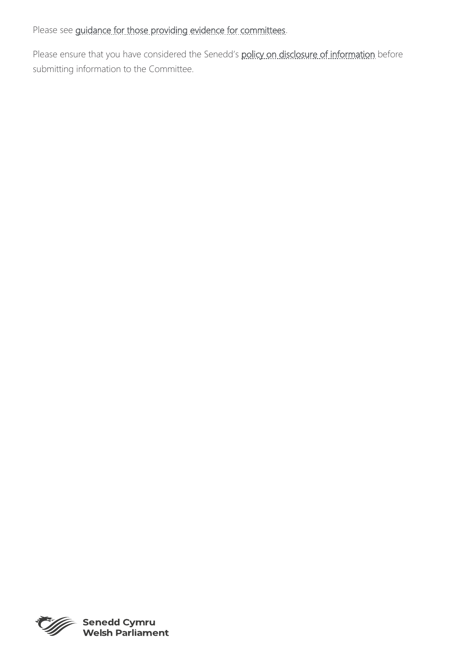Please see [guidance for those providing evidence for committees.](https://senedd.wales/senedd-business/committees/getting-involved-with-committees/)

Please ensure that you have considered the Senedd's [policy on disclosure of information](https://senedd.wales/help/privacy/senedd-committee-privacy-notice/) before submitting information to the Committee.



Senedd Cymru<br>Welsh Parliament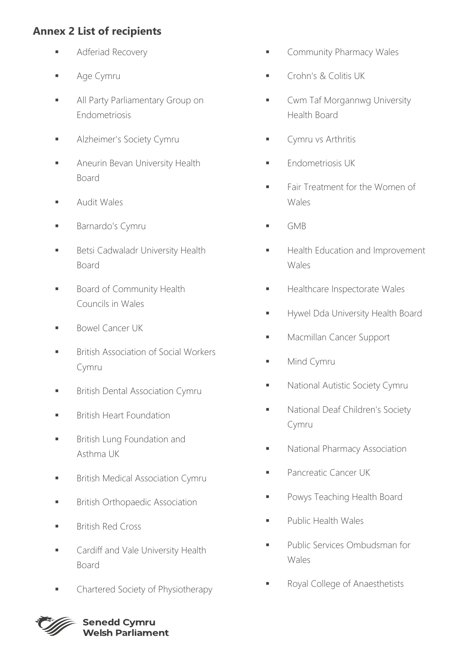# **Annex 2 List of recipients**

- **E** Adferiad Recovery
- Age Cymru
- **E** All Party Parliamentary Group on Endometriosis
- **■** Alzheimer's Society Cymru
- Aneurin Bevan University Health Board
- Audit Wales
- Barnardo's Cymru
- **■** Betsi Cadwaladr University Health Board
- **Board of Community Health** Councils in Wales
- Bowel Cancer UK
- **■** British Association of Social Workers Cymru
- **■** British Dental Association Cymru
- **■** British Heart Foundation
- **■** British Lung Foundation and Asthma UK
- **■** British Medical Association Cymru
- **■** British Orthopaedic Association
- British Red Cross
- **■** Cardiff and Vale University Health Board
- Chartered Society of Physiotherapy
- **■** Community Pharmacy Wales
- Crohn's & Colitis UK
- Cwm Taf Morgannwg University Health Board
- Cymru vs Arthritis
- Endometriosis UK
- Fair Treatment for the Women of Wales
- $\blacksquare$  GMB
- **■** Health Education and Improvement Wales
- Healthcare Inspectorate Wales
- **Hywel Dda University Health Board**
- Macmillan Cancer Support
- Mind Cymru
- **National Autistic Society Cymru**
- National Deaf Children's Society Cymru
- **National Pharmacy Association**
- **Pancreatic Cancer UK**
- Powys Teaching Health Board
- Public Health Wales
- Public Services Ombudsman for Wales
- Royal College of Anaesthetists



**Senedd Cymru Welsh Parliament**